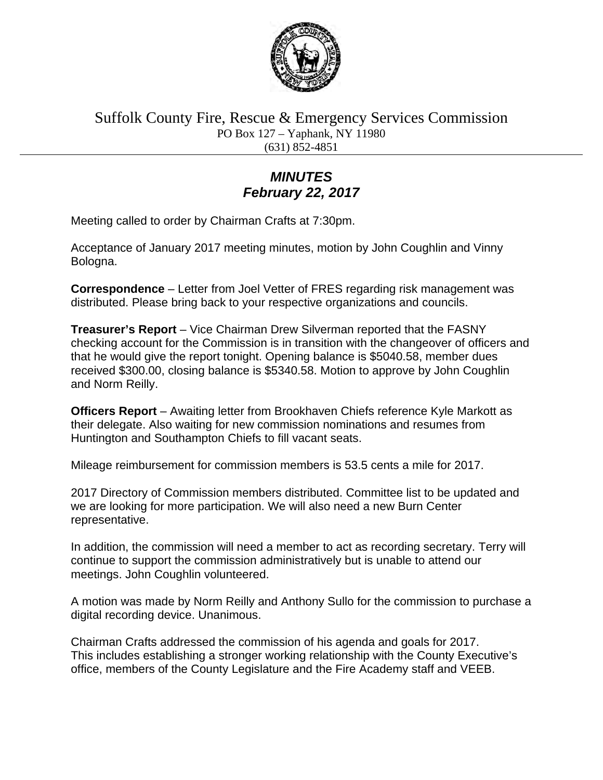

Suffolk County Fire, Rescue & Emergency Services Commission PO Box 127 – Yaphank, NY 11980 (631) 852-4851

## *MINUTES February 22, 2017*

Meeting called to order by Chairman Crafts at 7:30pm.

Acceptance of January 2017 meeting minutes, motion by John Coughlin and Vinny Bologna.

**Correspondence** – Letter from Joel Vetter of FRES regarding risk management was distributed. Please bring back to your respective organizations and councils.

**Treasurer's Report** – Vice Chairman Drew Silverman reported that the FASNY checking account for the Commission is in transition with the changeover of officers and that he would give the report tonight. Opening balance is \$5040.58, member dues received \$300.00, closing balance is \$5340.58. Motion to approve by John Coughlin and Norm Reilly.

**Officers Report** – Awaiting letter from Brookhaven Chiefs reference Kyle Markott as their delegate. Also waiting for new commission nominations and resumes from Huntington and Southampton Chiefs to fill vacant seats.

Mileage reimbursement for commission members is 53.5 cents a mile for 2017.

2017 Directory of Commission members distributed. Committee list to be updated and we are looking for more participation. We will also need a new Burn Center representative.

In addition, the commission will need a member to act as recording secretary. Terry will continue to support the commission administratively but is unable to attend our meetings. John Coughlin volunteered.

A motion was made by Norm Reilly and Anthony Sullo for the commission to purchase a digital recording device. Unanimous.

Chairman Crafts addressed the commission of his agenda and goals for 2017. This includes establishing a stronger working relationship with the County Executive's office, members of the County Legislature and the Fire Academy staff and VEEB.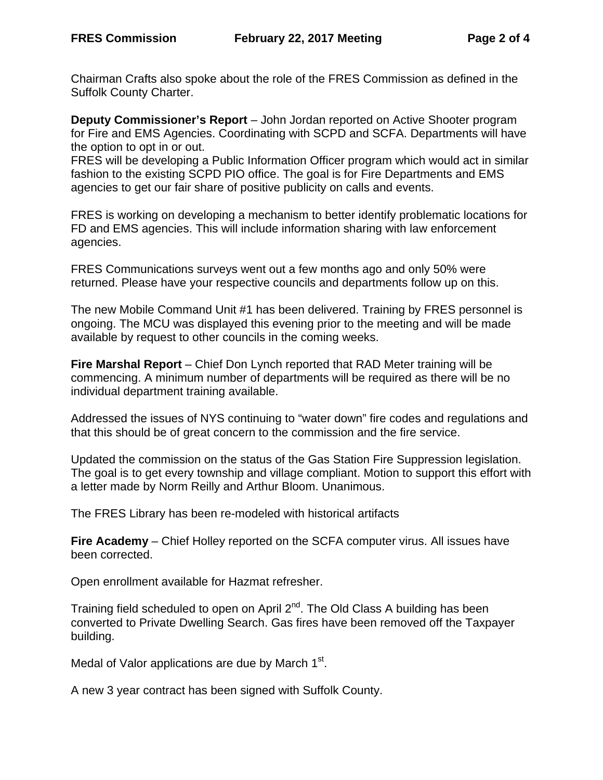Chairman Crafts also spoke about the role of the FRES Commission as defined in the Suffolk County Charter.

**Deputy Commissioner's Report** – John Jordan reported on Active Shooter program for Fire and EMS Agencies. Coordinating with SCPD and SCFA. Departments will have the option to opt in or out.

FRES will be developing a Public Information Officer program which would act in similar fashion to the existing SCPD PIO office. The goal is for Fire Departments and EMS agencies to get our fair share of positive publicity on calls and events.

FRES is working on developing a mechanism to better identify problematic locations for FD and EMS agencies. This will include information sharing with law enforcement agencies.

FRES Communications surveys went out a few months ago and only 50% were returned. Please have your respective councils and departments follow up on this.

The new Mobile Command Unit #1 has been delivered. Training by FRES personnel is ongoing. The MCU was displayed this evening prior to the meeting and will be made available by request to other councils in the coming weeks.

**Fire Marshal Report** – Chief Don Lynch reported that RAD Meter training will be commencing. A minimum number of departments will be required as there will be no individual department training available.

Addressed the issues of NYS continuing to "water down" fire codes and regulations and that this should be of great concern to the commission and the fire service.

Updated the commission on the status of the Gas Station Fire Suppression legislation. The goal is to get every township and village compliant. Motion to support this effort with a letter made by Norm Reilly and Arthur Bloom. Unanimous.

The FRES Library has been re-modeled with historical artifacts

**Fire Academy** – Chief Holley reported on the SCFA computer virus. All issues have been corrected.

Open enrollment available for Hazmat refresher.

Training field scheduled to open on April  $2^{nd}$ . The Old Class A building has been converted to Private Dwelling Search. Gas fires have been removed off the Taxpayer building.

Medal of Valor applications are due by March  $1<sup>st</sup>$ .

A new 3 year contract has been signed with Suffolk County.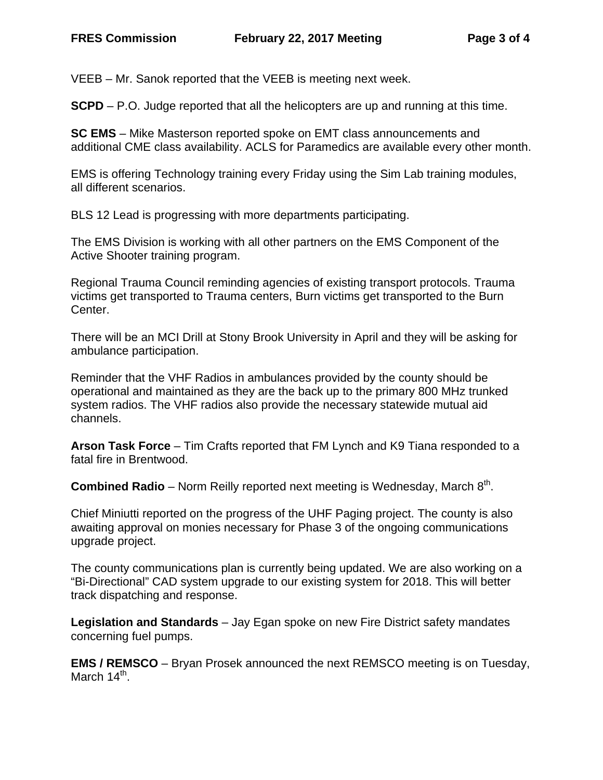VEEB – Mr. Sanok reported that the VEEB is meeting next week.

**SCPD** – P.O. Judge reported that all the helicopters are up and running at this time.

**SC EMS** – Mike Masterson reported spoke on EMT class announcements and additional CME class availability. ACLS for Paramedics are available every other month.

EMS is offering Technology training every Friday using the Sim Lab training modules, all different scenarios.

BLS 12 Lead is progressing with more departments participating.

The EMS Division is working with all other partners on the EMS Component of the Active Shooter training program.

Regional Trauma Council reminding agencies of existing transport protocols. Trauma victims get transported to Trauma centers, Burn victims get transported to the Burn Center.

There will be an MCI Drill at Stony Brook University in April and they will be asking for ambulance participation.

Reminder that the VHF Radios in ambulances provided by the county should be operational and maintained as they are the back up to the primary 800 MHz trunked system radios. The VHF radios also provide the necessary statewide mutual aid channels.

**Arson Task Force** – Tim Crafts reported that FM Lynch and K9 Tiana responded to a fatal fire in Brentwood.

**Combined Radio** – Norm Reilly reported next meeting is Wednesday, March 8<sup>th</sup>.

Chief Miniutti reported on the progress of the UHF Paging project. The county is also awaiting approval on monies necessary for Phase 3 of the ongoing communications upgrade project.

The county communications plan is currently being updated. We are also working on a "Bi-Directional" CAD system upgrade to our existing system for 2018. This will better track dispatching and response.

**Legislation and Standards** – Jay Egan spoke on new Fire District safety mandates concerning fuel pumps.

**EMS / REMSCO** – Bryan Prosek announced the next REMSCO meeting is on Tuesday, March  $14<sup>th</sup>$ .